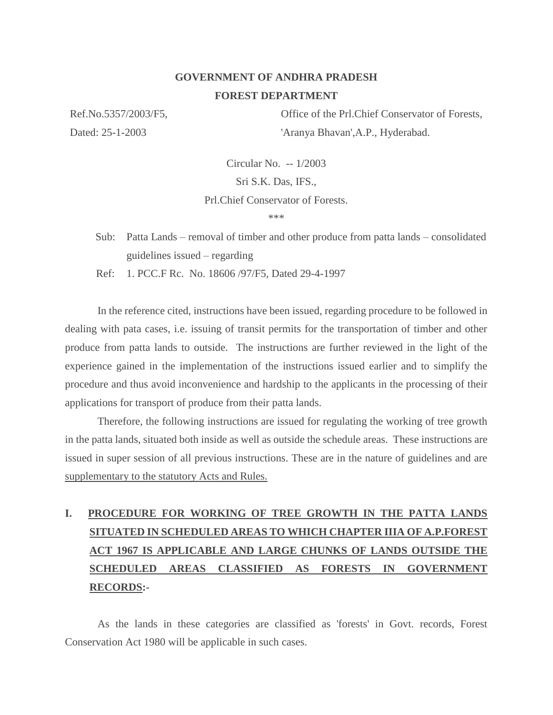## **GOVERNMENT OF ANDHRA PRADESH FOREST DEPARTMENT**

Ref.No.5357/2003/F5, Dated: 25-1-2003

Office of the Prl.Chief Conservator of Forests, 'Aranya Bhavan',A.P., Hyderabad.

Circular No. -- 1/2003

Sri S.K. Das, IFS.,

Prl.Chief Conservator of Forests.

\*\*\*

Sub: Patta Lands – removal of timber and other produce from patta lands – consolidated guidelines issued – regarding

Ref: 1. PCC.F Rc. No. 18606 /97/F5, Dated 29-4-1997

In the reference cited, instructions have been issued, regarding procedure to be followed in dealing with pata cases, i.e. issuing of transit permits for the transportation of timber and other produce from patta lands to outside. The instructions are further reviewed in the light of the experience gained in the implementation of the instructions issued earlier and to simplify the procedure and thus avoid inconvenience and hardship to the applicants in the processing of their applications for transport of produce from their patta lands.

Therefore, the following instructions are issued for regulating the working of tree growth in the patta lands, situated both inside as well as outside the schedule areas. These instructions are issued in super session of all previous instructions. These are in the nature of guidelines and are supplementary to the statutory Acts and Rules.

# **I. PROCEDURE FOR WORKING OF TREE GROWTH IN THE PATTA LANDS SITUATED IN SCHEDULED AREAS TO WHICH CHAPTER IIIA OF A.P.FOREST ACT 1967 IS APPLICABLE AND LARGE CHUNKS OF LANDS OUTSIDE THE SCHEDULED AREAS CLASSIFIED AS FORESTS IN GOVERNMENT RECORDS:-**

As the lands in these categories are classified as 'forests' in Govt. records, Forest Conservation Act 1980 will be applicable in such cases.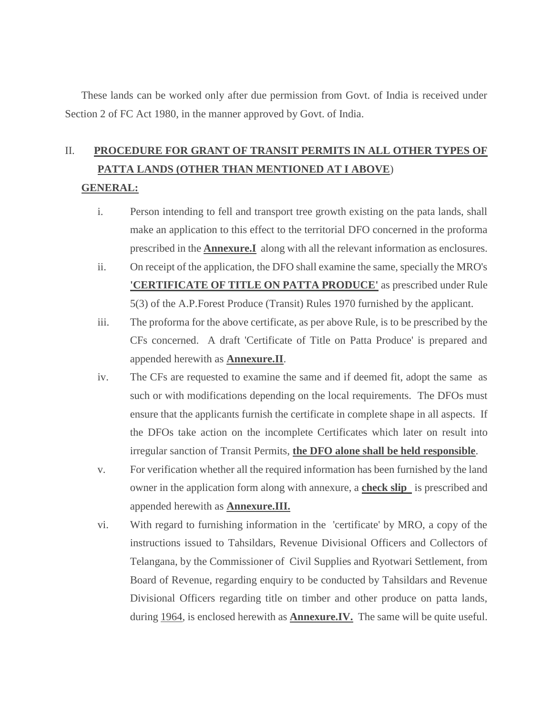These lands can be worked only after due permission from Govt. of India is received under Section 2 of FC Act 1980, in the manner approved by Govt. of India.

# II. **PROCEDURE FOR GRANT OF TRANSIT PERMITS IN ALL OTHER TYPES OF PATTA LANDS (OTHER THAN MENTIONED AT I ABOVE**)

### **GENERAL:**

- i. Person intending to fell and transport tree growth existing on the pata lands, shall make an application to this effect to the territorial DFO concerned in the proforma prescribed in the **Annexure.I** along with all the relevant information as enclosures.
- ii. On receipt of the application, the DFO shall examine the same, specially the MRO's **'CERTIFICATE OF TITLE ON PATTA PRODUCE'** as prescribed under Rule 5(3) of the A.P.Forest Produce (Transit) Rules 1970 furnished by the applicant.
- iii. The proforma for the above certificate, as per above Rule, is to be prescribed by the CFs concerned. A draft 'Certificate of Title on Patta Produce' is prepared and appended herewith as **Annexure.II**.
- iv. The CFs are requested to examine the same and if deemed fit, adopt the same as such or with modifications depending on the local requirements. The DFOs must ensure that the applicants furnish the certificate in complete shape in all aspects. If the DFOs take action on the incomplete Certificates which later on result into irregular sanction of Transit Permits, **the DFO alone shall be held responsible**.
- v. For verification whether all the required information has been furnished by the land owner in the application form along with annexure, a **check slip** is prescribed and appended herewith as **Annexure.III.**
- vi. With regard to furnishing information in the 'certificate' by MRO, a copy of the instructions issued to Tahsildars, Revenue Divisional Officers and Collectors of Telangana, by the Commissioner of Civil Supplies and Ryotwari Settlement, from Board of Revenue, regarding enquiry to be conducted by Tahsildars and Revenue Divisional Officers regarding title on timber and other produce on patta lands, during 1964, is enclosed herewith as **Annexure.IV.** The same will be quite useful.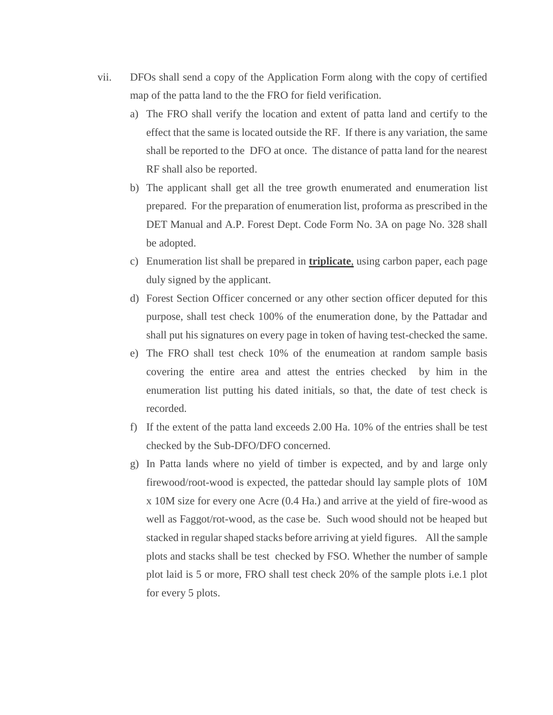- vii. DFOs shall send a copy of the Application Form along with the copy of certified map of the patta land to the the FRO for field verification.
	- a) The FRO shall verify the location and extent of patta land and certify to the effect that the same is located outside the RF. If there is any variation, the same shall be reported to the DFO at once. The distance of patta land for the nearest RF shall also be reported.
	- b) The applicant shall get all the tree growth enumerated and enumeration list prepared. For the preparation of enumeration list, proforma as prescribed in the DET Manual and A.P. Forest Dept. Code Form No. 3A on page No. 328 shall be adopted.
	- c) Enumeration list shall be prepared in **triplicate**, using carbon paper, each page duly signed by the applicant.
	- d) Forest Section Officer concerned or any other section officer deputed for this purpose, shall test check 100% of the enumeration done, by the Pattadar and shall put his signatures on every page in token of having test-checked the same.
	- e) The FRO shall test check 10% of the enumeation at random sample basis covering the entire area and attest the entries checked by him in the enumeration list putting his dated initials, so that, the date of test check is recorded.
	- f) If the extent of the patta land exceeds 2.00 Ha. 10% of the entries shall be test checked by the Sub-DFO/DFO concerned.
	- g) In Patta lands where no yield of timber is expected, and by and large only firewood/root-wood is expected, the pattedar should lay sample plots of 10M x 10M size for every one Acre (0.4 Ha.) and arrive at the yield of fire-wood as well as Faggot/rot-wood, as the case be. Such wood should not be heaped but stacked in regular shaped stacks before arriving at yield figures. All the sample plots and stacks shall be test checked by FSO. Whether the number of sample plot laid is 5 or more, FRO shall test check 20% of the sample plots i.e.1 plot for every 5 plots.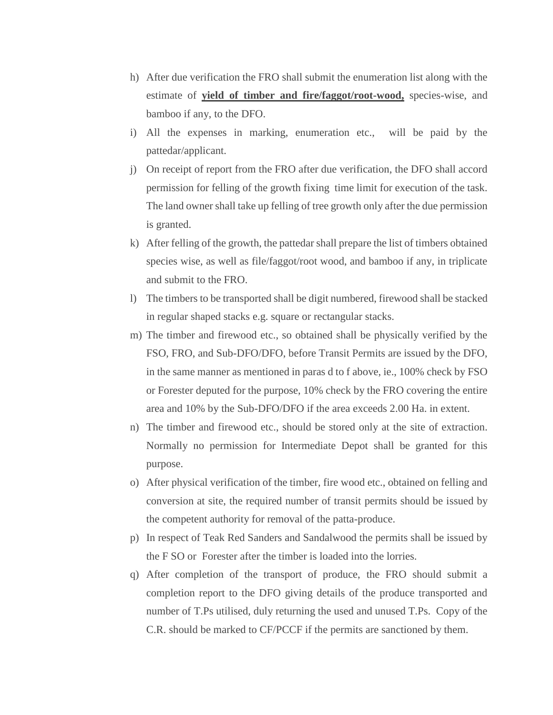- h) After due verification the FRO shall submit the enumeration list along with the estimate of **yield of timber and fire/faggot/root-wood,** species-wise, and bamboo if any, to the DFO.
- i) All the expenses in marking, enumeration etc., will be paid by the pattedar/applicant.
- j) On receipt of report from the FRO after due verification, the DFO shall accord permission for felling of the growth fixing time limit for execution of the task. The land owner shall take up felling of tree growth only after the due permission is granted.
- k) After felling of the growth, the pattedar shall prepare the list of timbers obtained species wise, as well as file/faggot/root wood, and bamboo if any, in triplicate and submit to the FRO.
- l) The timbers to be transported shall be digit numbered, firewood shall be stacked in regular shaped stacks e.g. square or rectangular stacks.
- m) The timber and firewood etc., so obtained shall be physically verified by the FSO, FRO, and Sub-DFO/DFO, before Transit Permits are issued by the DFO, in the same manner as mentioned in paras d to f above, ie., 100% check by FSO or Forester deputed for the purpose, 10% check by the FRO covering the entire area and 10% by the Sub-DFO/DFO if the area exceeds 2.00 Ha. in extent.
- n) The timber and firewood etc., should be stored only at the site of extraction. Normally no permission for Intermediate Depot shall be granted for this purpose.
- o) After physical verification of the timber, fire wood etc., obtained on felling and conversion at site, the required number of transit permits should be issued by the competent authority for removal of the patta-produce.
- p) In respect of Teak Red Sanders and Sandalwood the permits shall be issued by the F SO or Forester after the timber is loaded into the lorries.
- q) After completion of the transport of produce, the FRO should submit a completion report to the DFO giving details of the produce transported and number of T.Ps utilised, duly returning the used and unused T.Ps. Copy of the C.R. should be marked to CF/PCCF if the permits are sanctioned by them.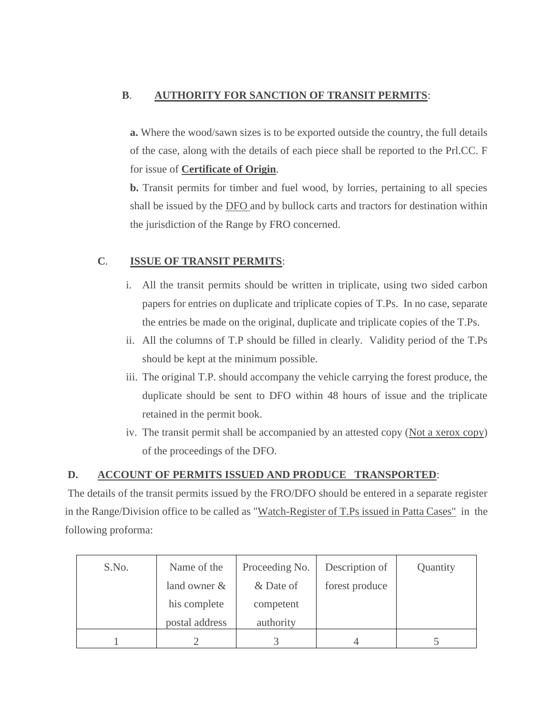## **B**. **AUTHORITY FOR SANCTION OF TRANSIT PERMITS**:

**a.** Where the wood/sawn sizes is to be exported outside the country, the full details of the case, along with the details of each piece shall be reported to the Prl.CC. F for issue of **Certificate of Origin**.

**b.** Transit permits for timber and fuel wood, by lorries, pertaining to all species shall be issued by the **DFO** and by bullock carts and tractors for destination within the jurisdiction of the Range by FRO concerned.

## **C**. **ISSUE OF TRANSIT PERMITS**:

- i. All the transit permits should be written in triplicate, using two sided carbon papers for entries on duplicate and triplicate copies of T.Ps. In no case, separate the entries be made on the original, duplicate and triplicate copies of the T.Ps.
- ii. All the columns of T.P should be filled in clearly. Validity period of the T.Ps should be kept at the minimum possible.
- iii. The original T.P. should accompany the vehicle carrying the forest produce, the duplicate should be sent to DFO within 48 hours of issue and the triplicate retained in the permit book.
- iv. The transit permit shall be accompanied by an attested copy (Not a xerox copy) of the proceedings of the DFO.

## **D. ACCOUNT OF PERMITS ISSUED AND PRODUCE TRANSPORTED**:

The details of the transit permits issued by the FRO/DFO should be entered in a separate register in the Range/Division office to be called as "Watch-Register of T.Ps issued in Patta Cases" in the following proforma:

| S.No. | Name of the    | Proceeding No. | Description of | Quantity |
|-------|----------------|----------------|----------------|----------|
|       | land owner $&$ | & Date of      | forest produce |          |
|       | his complete   | competent      |                |          |
|       | postal address | authority      |                |          |
|       |                |                |                |          |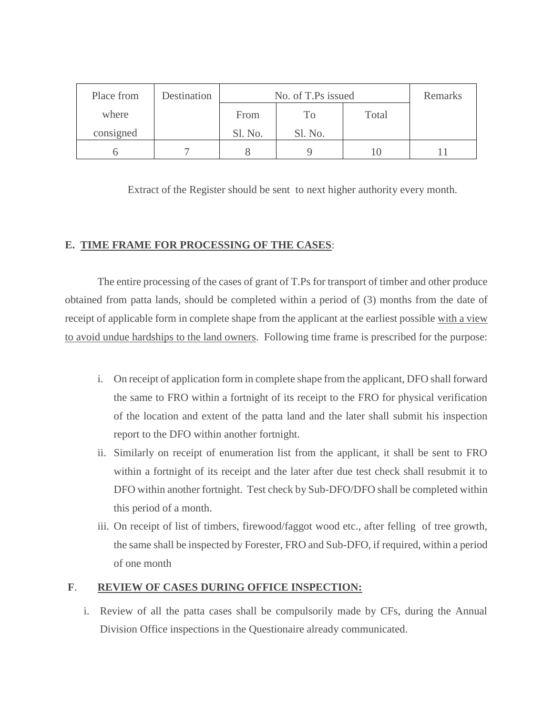| Place from | Destination | No. of T.Ps issued |         |       | Remarks |
|------------|-------------|--------------------|---------|-------|---------|
| where      |             | From               | Tо      | Total |         |
| consigned  |             | Sl. No.            | Sl. No. |       |         |
|            |             |                    |         |       |         |

Extract of the Register should be sent to next higher authority every month.

### **E. TIME FRAME FOR PROCESSING OF THE CASES**:

The entire processing of the cases of grant of T.Ps for transport of timber and other produce obtained from patta lands, should be completed within a period of (3) months from the date of receipt of applicable form in complete shape from the applicant at the earliest possible with a view to avoid undue hardships to the land owners. Following time frame is prescribed for the purpose:

- i. On receipt of application form in complete shape from the applicant, DFO shall forward the same to FRO within a fortnight of its receipt to the FRO for physical verification of the location and extent of the patta land and the later shall submit his inspection report to the DFO within another fortnight.
- ii. Similarly on receipt of enumeration list from the applicant, it shall be sent to FRO within a fortnight of its receipt and the later after due test check shall resubmit it to DFO within another fortnight. Test check by Sub-DFO/DFO shall be completed within this period of a month.
- iii. On receipt of list of timbers, firewood/faggot wood etc., after felling of tree growth, the same shall be inspected by Forester, FRO and Sub-DFO, if required, within a period of one month

## **F**. **REVIEW OF CASES DURING OFFICE INSPECTION:**

i. Review of all the patta cases shall be compulsorily made by CFs, during the Annual Division Office inspections in the Questionaire already communicated.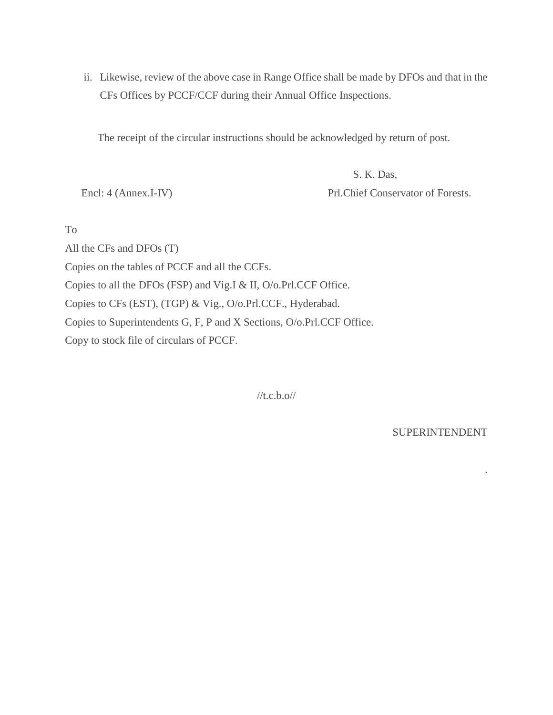ii. Likewise, review of the above case in Range Office shall be made by DFOs and that in the CFs Offices by PCCF/CCF during their Annual Office Inspections.

The receipt of the circular instructions should be acknowledged by return of post.

 S. K. Das, Encl: 4 (Annex.I-IV) Prl.Chief Conservator of Forests.

To

All the CFs and DFOs (T)

Copies on the tables of PCCF and all the CCFs.

Copies to all the DFOs (FSP) and Vig.I & II, O/o.Prl.CCF Office.

Copies to CFs (EST), (TGP) & Vig., O/o.Prl.CCF., Hyderabad.

Copies to Superintendents G, F, P and X Sections, O/o.Prl.CCF Office.

Copy to stock file of circulars of PCCF.

 $//t.c.b.o//$ 

SUPERINTENDENT

.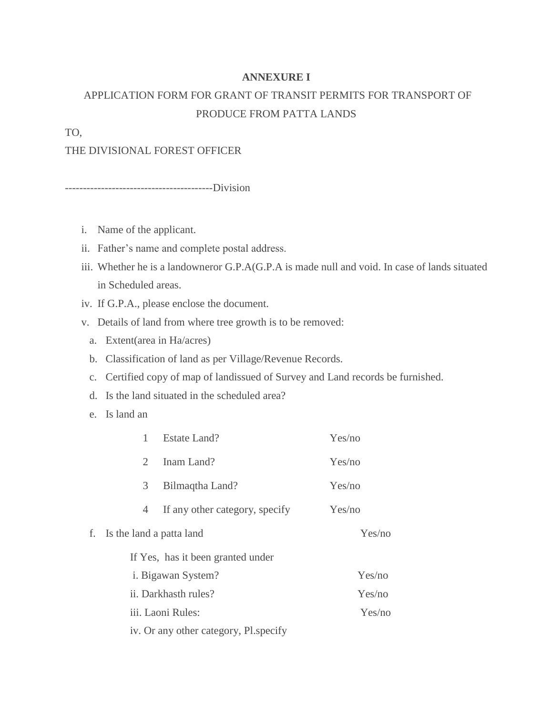#### **ANNEXURE I**

# APPLICATION FORM FOR GRANT OF TRANSIT PERMITS FOR TRANSPORT OF PRODUCE FROM PATTA LANDS

TO,

#### THE DIVISIONAL FOREST OFFICER

-----------------------------------------Division

- i. Name of the applicant.
- ii. Father's name and complete postal address.
- iii. Whether he is a landowneror G.P.A(G.P.A is made null and void. In case of lands situated in Scheduled areas.
- iv. If G.P.A., please enclose the document.
- v. Details of land from where tree growth is to be removed:
	- a. Extent(area in Ha/acres)
	- b. Classification of land as per Village/Revenue Records.
	- c. Certified copy of map of landissued of Survey and Land records be furnished.
	- d. Is the land situated in the scheduled area?
	- e. Is land an

| 1                                 | Estate Land?                   | Yes/no |  |  |
|-----------------------------------|--------------------------------|--------|--|--|
| $\mathcal{D}_{\mathcal{L}}$       | Inam Land?                     | Yes/no |  |  |
| 3                                 | Bilmaqtha Land?                | Yes/no |  |  |
| 4                                 | If any other category, specify | Yes/no |  |  |
| Is the land a patta land<br>f.    |                                | Yes/no |  |  |
| If Yes, has it been granted under |                                |        |  |  |
| <i>i.</i> Bigawan System?         | Yes/no                         |        |  |  |
| ii. Darkhasth rules?              | Yes/no                         |        |  |  |
| iii. Laoni Rules:                 |                                | Yes/no |  |  |
|                                   |                                |        |  |  |

iv. Or any other category, Pl.specify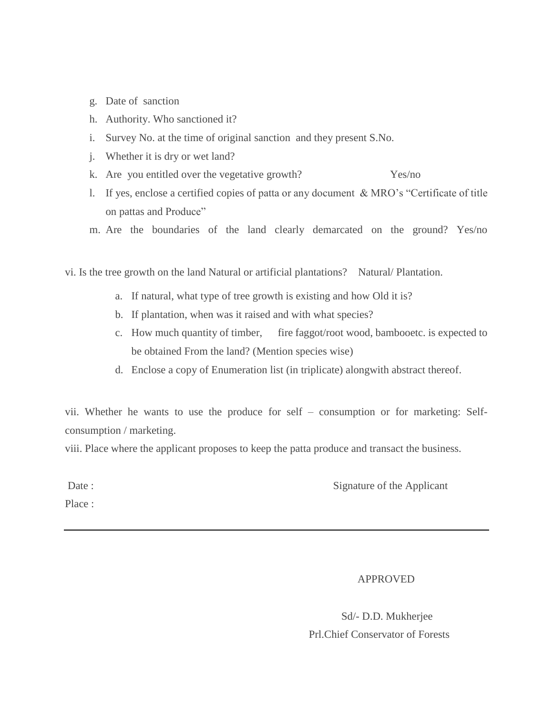- g. Date of sanction
- h. Authority. Who sanctioned it?
- i. Survey No. at the time of original sanction and they present S.No.
- j. Whether it is dry or wet land?
- k. Are you entitled over the vegetative growth? Yes/no
- l. If yes, enclose a certified copies of patta or any document & MRO's "Certificate of title on pattas and Produce"
- m. Are the boundaries of the land clearly demarcated on the ground? Yes/no

vi. Is the tree growth on the land Natural or artificial plantations? Natural/ Plantation.

- a. If natural, what type of tree growth is existing and how Old it is?
- b. If plantation, when was it raised and with what species?
- c. How much quantity of timber, fire faggot/root wood, bambooetc. is expected to be obtained From the land? (Mention species wise)
- d. Enclose a copy of Enumeration list (in triplicate) alongwith abstract thereof.

vii. Whether he wants to use the produce for self – consumption or for marketing: Selfconsumption / marketing.

viii. Place where the applicant proposes to keep the patta produce and transact the business.

Place :

Date : Signature of the Applicant

APPROVED

 Sd/- D.D. Mukherjee Prl.Chief Conservator of Forests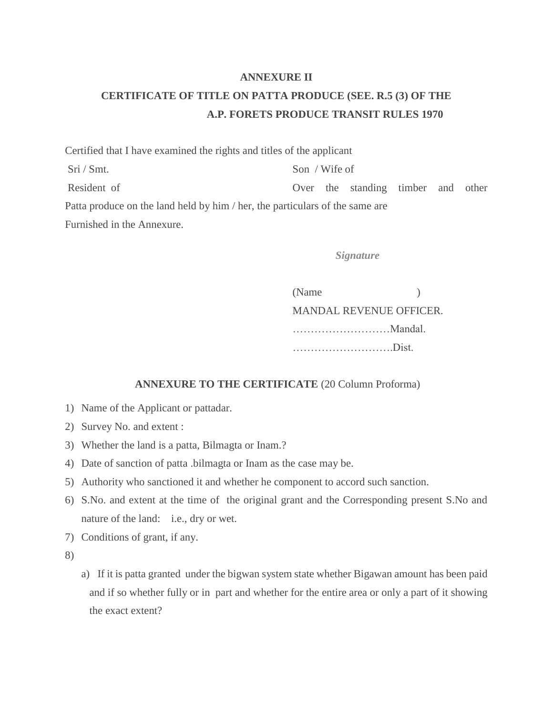#### **ANNEXURE II**

## **CERTIFICATE OF TITLE ON PATTA PRODUCE (SEE. R.5 (3) OF THE A.P. FORETS PRODUCE TRANSIT RULES 1970**

Certified that I have examined the rights and titles of the applicant Sri / Smt. Son / Wife of Resident of **Over** the standing timber and other Patta produce on the land held by him / her, the particulars of the same are Furnished in the Annexure.

*Signature*

(Name ) MANDAL REVENUE OFFICER. ………………………Mandal. ……………………….Dist.

#### **ANNEXURE TO THE CERTIFICATE** (20 Column Proforma)

- 1) Name of the Applicant or pattadar.
- 2) Survey No. and extent :
- 3) Whether the land is a patta, Bilmagta or Inam.?
- 4) Date of sanction of patta .bilmagta or Inam as the case may be.
- 5) Authority who sanctioned it and whether he component to accord such sanction.
- 6) S.No. and extent at the time of the original grant and the Corresponding present S.No and nature of the land: i.e., dry or wet.
- 7) Conditions of grant, if any.
- 8)
- a) If it is patta granted under the bigwan system state whether Bigawan amount has been paid and if so whether fully or in part and whether for the entire area or only a part of it showing the exact extent?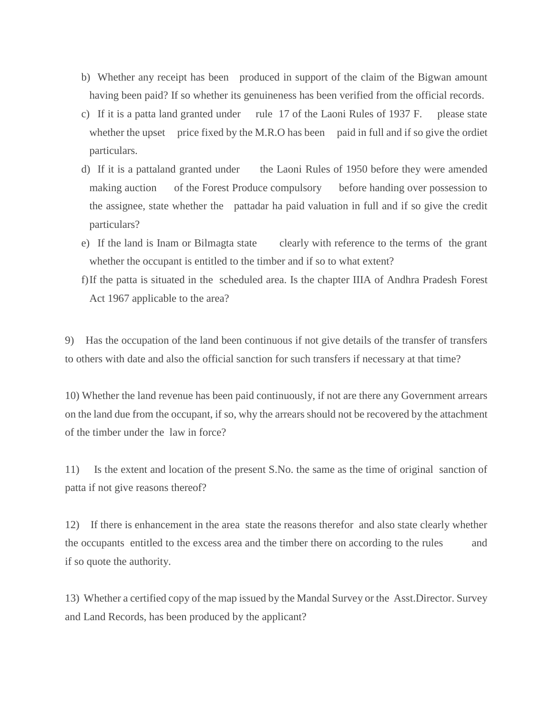- b) Whether any receipt has been produced in support of the claim of the Bigwan amount having been paid? If so whether its genuineness has been verified from the official records.
- c) If it is a patta land granted under rule 17 of the Laoni Rules of 1937 F. please state whether the upset price fixed by the M.R.O has been paid in full and if so give the ordiet particulars.
- d) If it is a pattaland granted under the Laoni Rules of 1950 before they were amended making auction of the Forest Produce compulsory before handing over possession to the assignee, state whether the pattadar ha paid valuation in full and if so give the credit particulars?
- e) If the land is Inam or Bilmagta state clearly with reference to the terms of the grant whether the occupant is entitled to the timber and if so to what extent?
- f)If the patta is situated in the scheduled area. Is the chapter IIIA of Andhra Pradesh Forest Act 1967 applicable to the area?

9) Has the occupation of the land been continuous if not give details of the transfer of transfers to others with date and also the official sanction for such transfers if necessary at that time?

10) Whether the land revenue has been paid continuously, if not are there any Government arrears on the land due from the occupant, if so, why the arrears should not be recovered by the attachment of the timber under the law in force?

11) Is the extent and location of the present S.No. the same as the time of original sanction of patta if not give reasons thereof?

12) If there is enhancement in the area state the reasons therefor and also state clearly whether the occupants entitled to the excess area and the timber there on according to the rules and if so quote the authority.

13) Whether a certified copy of the map issued by the Mandal Survey or the Asst.Director. Survey and Land Records, has been produced by the applicant?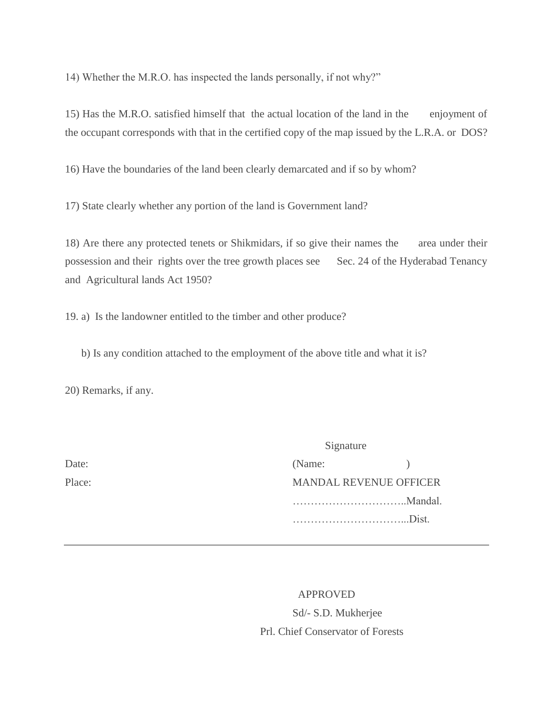14) Whether the M.R.O. has inspected the lands personally, if not why?"

15) Has the M.R.O. satisfied himself that the actual location of the land in the enjoyment of the occupant corresponds with that in the certified copy of the map issued by the L.R.A. or DOS?

16) Have the boundaries of the land been clearly demarcated and if so by whom?

17) State clearly whether any portion of the land is Government land?

18) Are there any protected tenets or Shikmidars, if so give their names the area under their possession and their rights over the tree growth places see Sec. 24 of the Hyderabad Tenancy and Agricultural lands Act 1950?

19. a) Is the landowner entitled to the timber and other produce?

b) Is any condition attached to the employment of the above title and what it is?

20) Remarks, if any.

|        | Signature                     |         |  |
|--------|-------------------------------|---------|--|
| Date:  | (Name:                        |         |  |
| Place: | <b>MANDAL REVENUE OFFICER</b> |         |  |
|        |                               | Mandal. |  |
|        |                               | Dist.   |  |
|        |                               |         |  |

 APPROVED Sd/- S.D. Mukherjee Prl. Chief Conservator of Forests